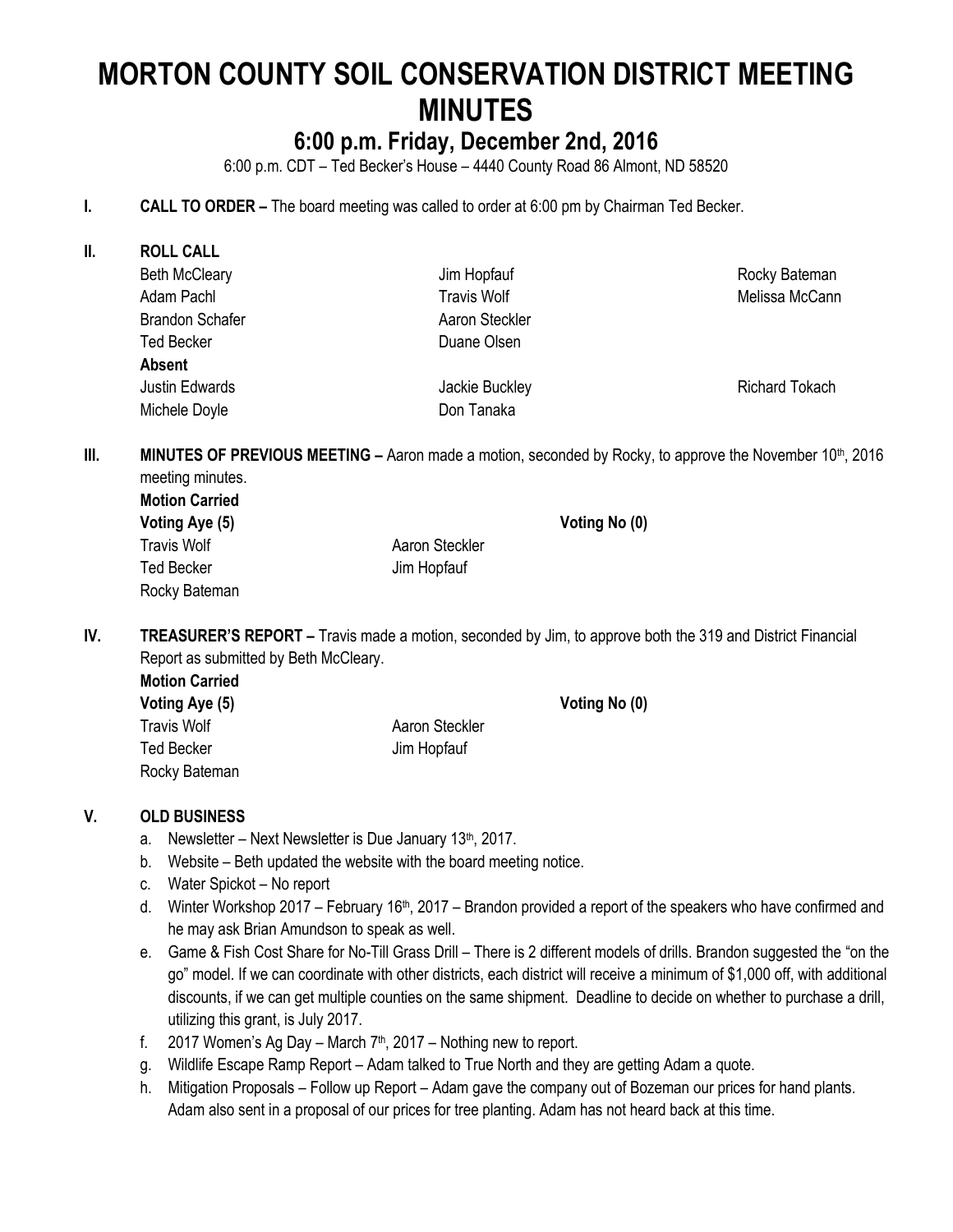# **MORTON COUNTY SOIL CONSERVATION DISTRICT MEETING MINUTES**

## **6:00 p.m. Friday, December 2nd, 2016**

6:00 p.m. CDT – Ted Becker's House – 4440 County Road 86 Almont, ND 58520

#### **I. CALL TO ORDER –** The board meeting was called to order at 6:00 pm by Chairman Ted Becker.

| II. | <b>ROLL CALL</b>       |                    |                       |  |  |
|-----|------------------------|--------------------|-----------------------|--|--|
|     | <b>Beth McCleary</b>   | Jim Hopfauf        | Rocky Bateman         |  |  |
|     | Adam Pachl             | <b>Travis Wolf</b> | Melissa McCann        |  |  |
|     | <b>Brandon Schafer</b> | Aaron Steckler     |                       |  |  |
|     | <b>Ted Becker</b>      | Duane Olsen        |                       |  |  |
|     | <b>Absent</b>          |                    |                       |  |  |
|     | Justin Edwards         | Jackie Buckley     | <b>Richard Tokach</b> |  |  |
|     | Michele Doyle          | Don Tanaka         |                       |  |  |
|     |                        |                    |                       |  |  |

**III. MINUTES OF PREVIOUS MEETING** – Aaron made a motion, seconded by Rocky, to approve the November 10<sup>th</sup>, 2016 meeting minutes.

| <b>Motion Carried</b> |                |  |
|-----------------------|----------------|--|
| Voting Aye (5)        | Voting No (0)  |  |
| Travis Wolf           | Aaron Steckler |  |
| Ted Becker            | Jim Hopfauf    |  |
| Rocky Bateman         |                |  |

**IV. TREASURER'S REPORT –** Travis made a motion, seconded by Jim, to approve both the 319 and District Financial Report as submitted by Beth McCleary.

| <b>Motion Carried</b> | Voting No (0)  |  |
|-----------------------|----------------|--|
| Voting Aye (5)        |                |  |
| <b>Travis Wolf</b>    | Aaron Steckler |  |
| <b>Ted Becker</b>     | Jim Hopfauf    |  |
| Rocky Bateman         |                |  |

#### **V. OLD BUSINESS**

- a. Newsletter Next Newsletter is Due January  $13<sup>th</sup>$ , 2017.
- b. Website Beth updated the website with the board meeting notice.
- c. Water Spickot No report
- d. Winter Workshop 2017 February 16<sup>th</sup>, 2017 Brandon provided a report of the speakers who have confirmed and he may ask Brian Amundson to speak as well.
- e. Game & Fish Cost Share for No-Till Grass Drill There is 2 different models of drills. Brandon suggested the "on the go" model. If we can coordinate with other districts, each district will receive a minimum of \$1,000 off, with additional discounts, if we can get multiple counties on the same shipment. Deadline to decide on whether to purchase a drill, utilizing this grant, is July 2017.
- f. 2017 Women's Ag Day March  $7<sup>th</sup>$ , 2017 Nothing new to report.
- g. Wildlife Escape Ramp Report Adam talked to True North and they are getting Adam a quote.
- h. Mitigation Proposals Follow up Report Adam gave the company out of Bozeman our prices for hand plants. Adam also sent in a proposal of our prices for tree planting. Adam has not heard back at this time.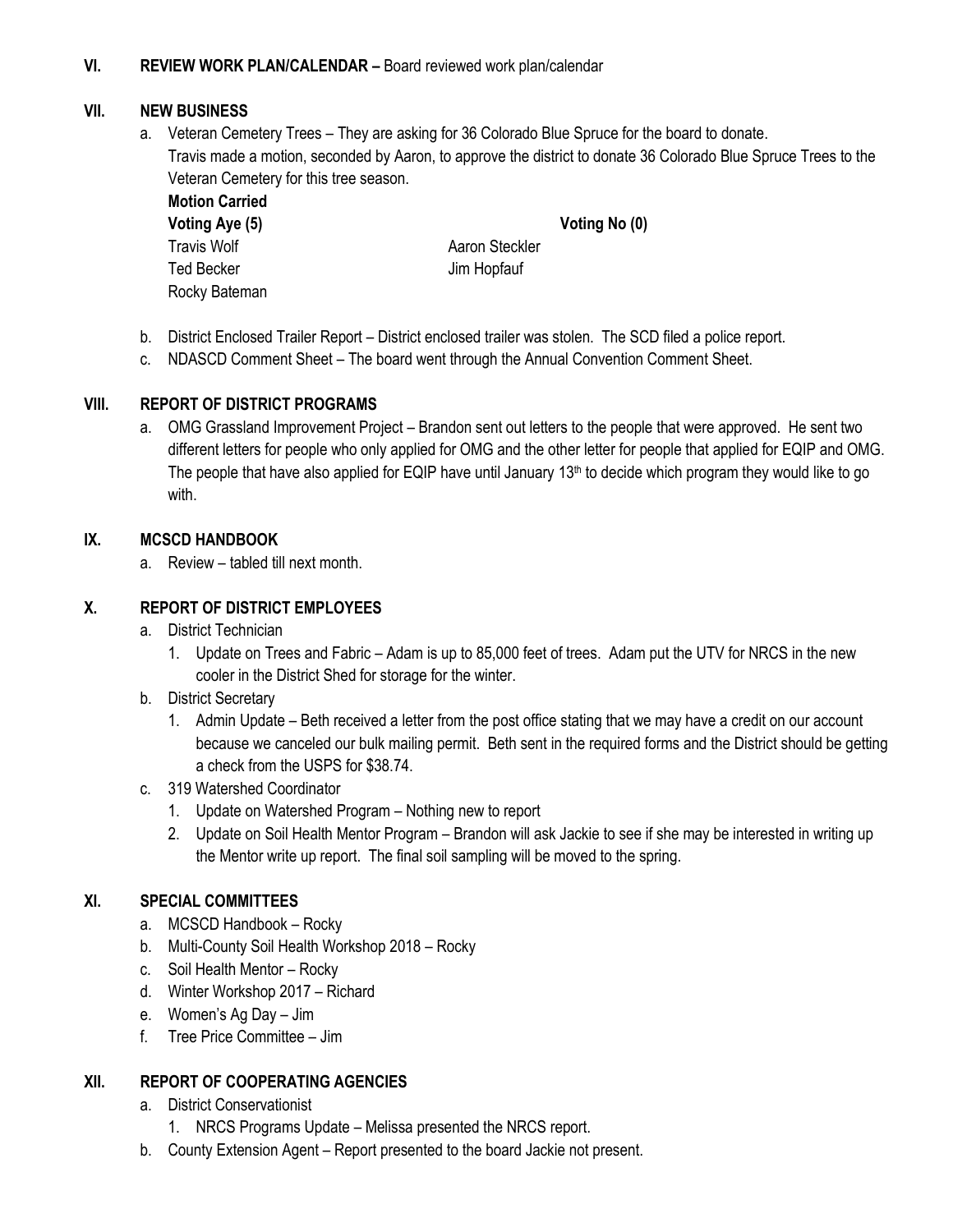#### **VI. REVIEW WORK PLAN/CALENDAR –** Board reviewed work plan/calendar

#### **VII. NEW BUSINESS**

a. Veteran Cemetery Trees – They are asking for 36 Colorado Blue Spruce for the board to donate. Travis made a motion, seconded by Aaron, to approve the district to donate 36 Colorado Blue Spruce Trees to the Veteran Cemetery for this tree season.

**Motion Carried Voting Aye (5) Voting No (0)** Travis Wolf **Aaron Steckler** Aaron Steckler Ted Becker **Jim Hopfauf** Rocky Bateman

- b. District Enclosed Trailer Report District enclosed trailer was stolen. The SCD filed a police report.
- c. NDASCD Comment Sheet The board went through the Annual Convention Comment Sheet.

#### **VIII. REPORT OF DISTRICT PROGRAMS**

a. OMG Grassland Improvement Project – Brandon sent out letters to the people that were approved. He sent two different letters for people who only applied for OMG and the other letter for people that applied for EQIP and OMG. The people that have also applied for EQIP have until January  $13<sup>th</sup>$  to decide which program they would like to go with.

#### **IX. MCSCD HANDBOOK**

a. Review – tabled till next month.

#### **X. REPORT OF DISTRICT EMPLOYEES**

- a. District Technician
	- 1. Update on Trees and Fabric Adam is up to 85,000 feet of trees. Adam put the UTV for NRCS in the new cooler in the District Shed for storage for the winter.
- b. District Secretary
	- 1. Admin Update Beth received a letter from the post office stating that we may have a credit on our account because we canceled our bulk mailing permit. Beth sent in the required forms and the District should be getting a check from the USPS for \$38.74.
- c. 319 Watershed Coordinator
	- 1. Update on Watershed Program Nothing new to report
	- 2. Update on Soil Health Mentor Program Brandon will ask Jackie to see if she may be interested in writing up the Mentor write up report. The final soil sampling will be moved to the spring.

#### **XI. SPECIAL COMMITTEES**

- a. MCSCD Handbook Rocky
- b. Multi-County Soil Health Workshop 2018 Rocky
- c. Soil Health Mentor Rocky
- d. Winter Workshop 2017 Richard
- e. Women's Ag Day Jim
- f. Tree Price Committee Jim

#### **XII. REPORT OF COOPERATING AGENCIES**

- a. District Conservationist
	- 1. NRCS Programs Update Melissa presented the NRCS report.
- b. County Extension Agent Report presented to the board Jackie not present.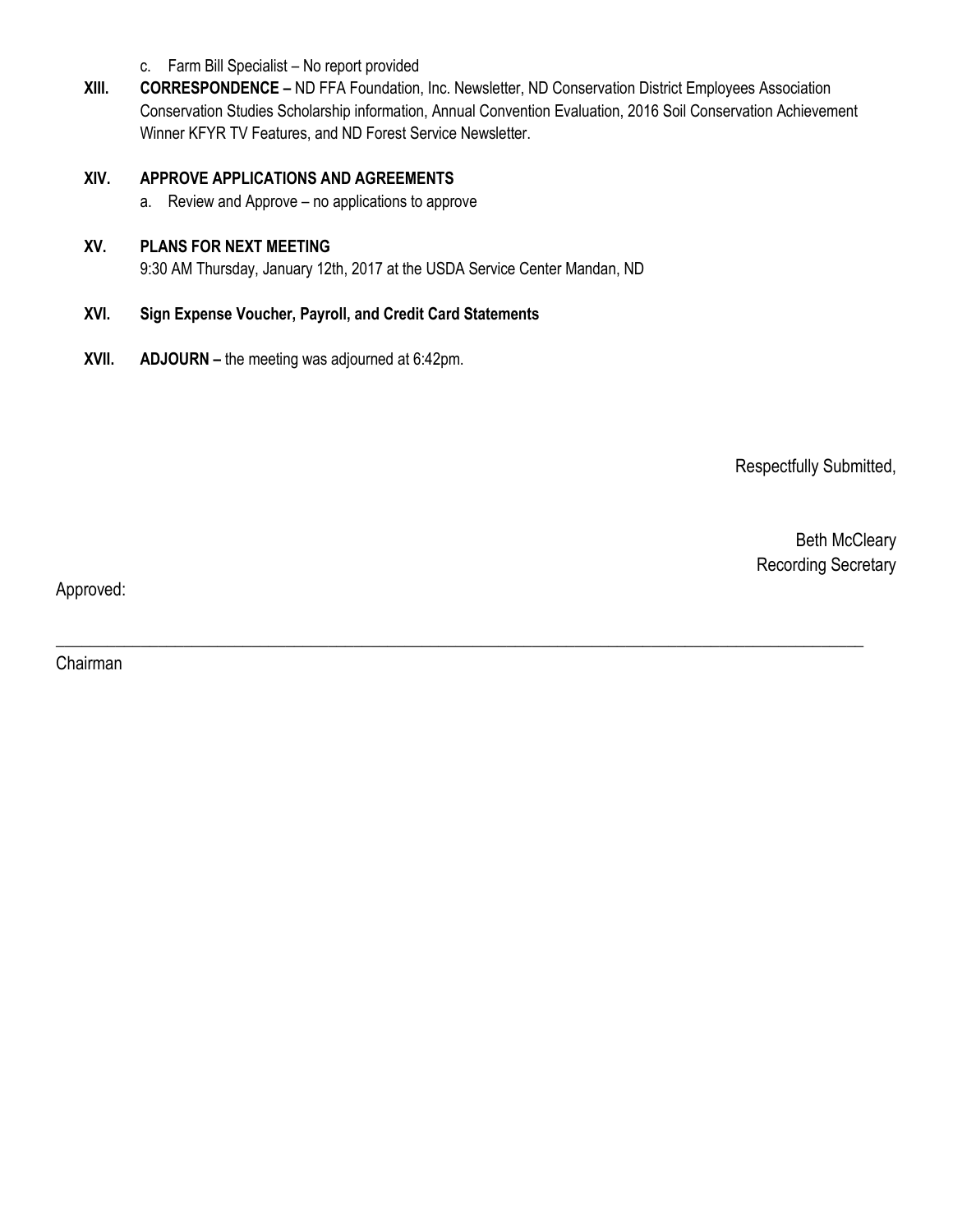- c. Farm Bill Specialist No report provided
- **XIII. CORRESPONDENCE –** ND FFA Foundation, Inc. Newsletter, ND Conservation District Employees Association Conservation Studies Scholarship information, Annual Convention Evaluation, 2016 Soil Conservation Achievement Winner KFYR TV Features, and ND Forest Service Newsletter.

\_\_\_\_\_\_\_\_\_\_\_\_\_\_\_\_\_\_\_\_\_\_\_\_\_\_\_\_\_\_\_\_\_\_\_\_\_\_\_\_\_\_\_\_\_\_\_\_\_\_\_\_\_\_\_\_\_\_\_\_\_\_\_\_\_\_\_\_\_\_\_\_\_\_\_\_\_\_\_\_\_\_\_\_\_\_\_\_\_\_\_\_\_\_\_

#### **XIV. APPROVE APPLICATIONS AND AGREEMENTS**

a. Review and Approve – no applications to approve

#### **XV. PLANS FOR NEXT MEETING**

9:30 AM Thursday, January 12th, 2017 at the USDA Service Center Mandan, ND

#### **XVI. Sign Expense Voucher, Payroll, and Credit Card Statements**

**XVII. ADJOURN –** the meeting was adjourned at 6:42pm.

Respectfully Submitted,

Beth McCleary Recording Secretary

Approved:

Chairman